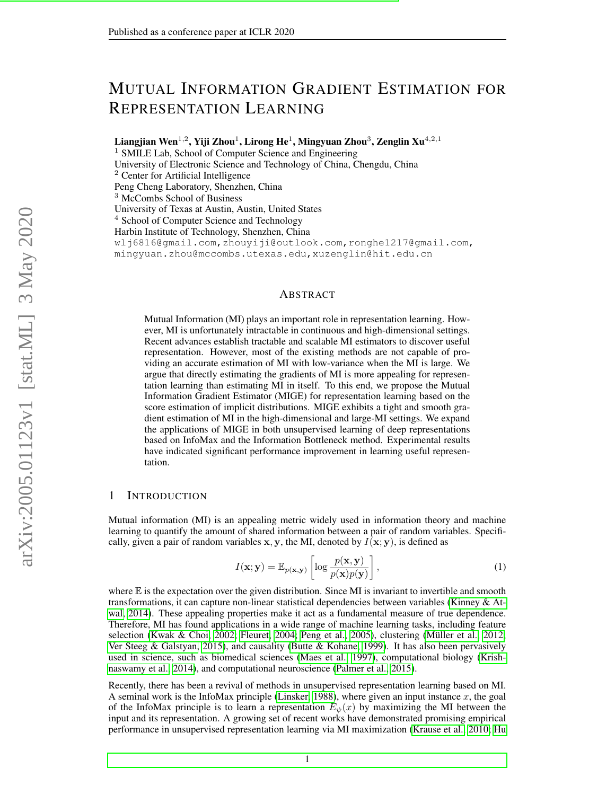# MUTUAL INFORMATION GRADIENT ESTIMATION FOR REPRESENTATION LEARNING

Liangjian Wen $^{1,2}$ , Yiji Zhou $^1$ , Lirong He $^1$ , Mingyuan Zhou $^3$ , Zenglin Xu $^{4,2,1}$ 

<sup>1</sup> SMILE Lab, School of Computer Science and Engineering

University of Electronic Science and Technology of China, Chengdu, China

<sup>2</sup> Center for Artificial Intelligence

Peng Cheng Laboratory, Shenzhen, China

<sup>3</sup> McCombs School of Business

University of Texas at Austin, Austin, United States

 $4$  School of Computer Science and Technology

Harbin Institute of Technology, Shenzhen, China

wlj6816@gmail.com,zhouyiji@outlook.com,ronghe1217@gmail.com, mingyuan.zhou@mccombs.utexas.edu,xuzenglin@hit.edu.cn

#### ABSTRACT

Mutual Information (MI) plays an important role in representation learning. However, MI is unfortunately intractable in continuous and high-dimensional settings. Recent advances establish tractable and scalable MI estimators to discover useful representation. However, most of the existing methods are not capable of providing an accurate estimation of MI with low-variance when the MI is large. We argue that directly estimating the gradients of MI is more appealing for representation learning than estimating MI in itself. To this end, we propose the Mutual Information Gradient Estimator (MIGE) for representation learning based on the score estimation of implicit distributions. MIGE exhibits a tight and smooth gradient estimation of MI in the high-dimensional and large-MI settings. We expand the applications of MIGE in both unsupervised learning of deep representations based on InfoMax and the Information Bottleneck method. Experimental results have indicated significant performance improvement in learning useful representation.

#### 1 INTRODUCTION

Mutual information (MI) is an appealing metric widely used in information theory and machine learning to quantify the amount of shared information between a pair of random variables. Specifically, given a pair of random variables x, y, the MI, denoted by  $I(x; y)$ , is defined as

$$
I(\mathbf{x}; \mathbf{y}) = \mathbb{E}_{p(\mathbf{x}, \mathbf{y})} \left[ \log \frac{p(\mathbf{x}, \mathbf{y})}{p(\mathbf{x}) p(\mathbf{y})} \right],
$$
 (1)

where  $E$  is the expectation over the given distribution. Since MI is invariant to invertible and smooth transformations, it can capture non-linear statistical dependencies between variables [\(Kinney & At](#page-9-0)[wal, 2014\)](#page-9-0). These appealing properties make it act as a fundamental measure of true dependence. Therefore, MI has found applications in a wide range of machine learning tasks, including feature selection [\(Kwak & Choi, 2002;](#page-10-0) [Fleuret, 2004;](#page-9-1) [Peng et al., 2005\)](#page-10-1), clustering (Müller et al., 2012; [Ver Steeg & Galstyan, 2015\)](#page-11-0), and causality [\(Butte & Kohane, 1999\)](#page-9-2). It has also been pervasively used in science, such as biomedical sciences [\(Maes et al., 1997\)](#page-10-3), computational biology [\(Krish](#page-10-4)[naswamy et al., 2014\)](#page-10-4), and computational neuroscience [\(Palmer et al., 2015\)](#page-10-5).

Recently, there has been a revival of methods in unsupervised representation learning based on MI. A seminal work is the InfoMax principle [\(Linsker, 1988\)](#page-10-6), where given an input instance  $x$ , the goal of the InfoMax principle is to learn a representation  $E_{\psi}(x)$  by maximizing the MI between the input and its representation. A growing set of recent works have demonstrated promising empirical performance in unsupervised representation learning via MI maximization [\(Krause et al., 2010;](#page-10-7) [Hu](#page-9-3)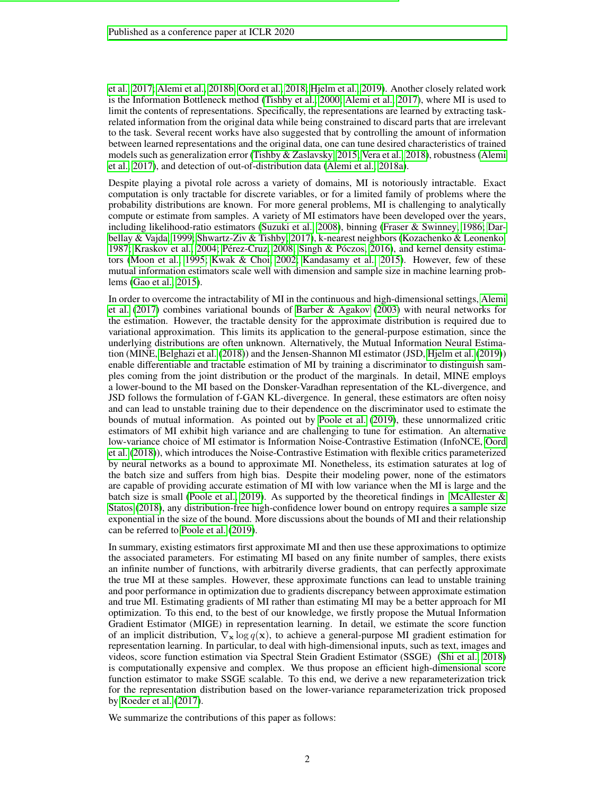[et al., 2017;](#page-9-3) [Alemi et al., 2018b;](#page-9-4) [Oord et al., 2018;](#page-10-8) [Hjelm et al., 2019\)](#page-9-5). Another closely related work is the Information Bottleneck method [\(Tishby et al., 2000;](#page-11-1) [Alemi et al., 2017\)](#page-9-6), where MI is used to limit the contents of representations. Specifically, the representations are learned by extracting taskrelated information from the original data while being constrained to discard parts that are irrelevant to the task. Several recent works have also suggested that by controlling the amount of information between learned representations and the original data, one can tune desired characteristics of trained models such as generalization error [\(Tishby & Zaslavsky, 2015;](#page-11-2) [Vera et al., 2018\)](#page-11-3), robustness [\(Alemi](#page-9-6) [et al., 2017\)](#page-9-6), and detection of out-of-distribution data [\(Alemi et al., 2018a\)](#page-9-7).

Despite playing a pivotal role across a variety of domains, MI is notoriously intractable. Exact computation is only tractable for discrete variables, or for a limited family of problems where the probability distributions are known. For more general problems, MI is challenging to analytically compute or estimate from samples. A variety of MI estimators have been developed over the years, including likelihood-ratio estimators [\(Suzuki et al., 2008\)](#page-11-4), binning [\(Fraser & Swinney, 1986;](#page-9-8) [Dar](#page-9-9)[bellay & Vajda, 1999;](#page-9-9) [Shwartz-Ziv & Tishby, 2017\)](#page-11-5), k-nearest neighbors [\(Kozachenko & Leonenko,](#page-10-9) [1987;](#page-10-9) [Kraskov et al., 2004;](#page-10-10) Pérez-Cruz, 2008; [Singh & P](#page-11-6)óczos, [2016\)](#page-11-6), and kernel density estimators [\(Moon et al., 1995;](#page-10-12) [Kwak & Choi, 2002;](#page-10-0) [Kandasamy et al., 2015\)](#page-9-10). However, few of these mutual information estimators scale well with dimension and sample size in machine learning problems [\(Gao et al., 2015\)](#page-9-11).

In order to overcome the intractability of MI in the continuous and high-dimensional settings, [Alemi](#page-9-6) [et al.](#page-9-6) [\(2017\)](#page-9-6) combines variational bounds of [Barber & Agakov](#page-9-12) [\(2003\)](#page-9-12) with neural networks for the estimation. However, the tractable density for the approximate distribution is required due to variational approximation. This limits its application to the general-purpose estimation, since the underlying distributions are often unknown. Alternatively, the Mutual Information Neural Estimation (MINE, [Belghazi et al.](#page-9-13) [\(2018\)](#page-9-13)) and the Jensen-Shannon MI estimator (JSD, [Hjelm et al.](#page-9-5) [\(2019\)](#page-9-5)) enable differentiable and tractable estimation of MI by training a discriminator to distinguish samples coming from the joint distribution or the product of the marginals. In detail, MINE employs a lower-bound to the MI based on the Donsker-Varadhan representation of the KL-divergence, and JSD follows the formulation of f-GAN KL-divergence. In general, these estimators are often noisy and can lead to unstable training due to their dependence on the discriminator used to estimate the bounds of mutual information. As pointed out by [Poole et al.](#page-10-13) [\(2019\)](#page-10-13), these unnormalized critic estimators of MI exhibit high variance and are challenging to tune for estimation. An alternative low-variance choice of MI estimator is Information Noise-Contrastive Estimation (InfoNCE, [Oord](#page-10-8) [et al.](#page-10-8) [\(2018\)](#page-10-8)), which introduces the Noise-Contrastive Estimation with flexible critics parameterized by neural networks as a bound to approximate MI. Nonetheless, its estimation saturates at log of the batch size and suffers from high bias. Despite their modeling power, none of the estimators are capable of providing accurate estimation of MI with low variance when the MI is large and the batch size is small [\(Poole et al., 2019\)](#page-10-13). As supported by the theoretical findings in McAllester  $\&$ [Statos](#page-10-14) [\(2018\)](#page-10-14), any distribution-free high-confidence lower bound on entropy requires a sample size exponential in the size of the bound. More discussions about the bounds of MI and their relationship can be referred to [Poole et al.](#page-10-13) [\(2019\)](#page-10-13).

In summary, existing estimators first approximate MI and then use these approximations to optimize the associated parameters. For estimating MI based on any finite number of samples, there exists an infinite number of functions, with arbitrarily diverse gradients, that can perfectly approximate the true MI at these samples. However, these approximate functions can lead to unstable training and poor performance in optimization due to gradients discrepancy between approximate estimation and true MI. Estimating gradients of MI rather than estimating MI may be a better approach for MI optimization. To this end, to the best of our knowledge, we firstly propose the Mutual Information Gradient Estimator (MIGE) in representation learning. In detail, we estimate the score function of an implicit distribution,  $\nabla_{\mathbf{x}} \log q(\mathbf{x})$ , to achieve a general-purpose MI gradient estimation for representation learning. In particular, to deal with high-dimensional inputs, such as text, images and videos, score function estimation via Spectral Stein Gradient Estimator (SSGE) [\(Shi et al., 2018\)](#page-11-7) is computationally expensive and complex. We thus propose an efficient high-dimensional score function estimator to make SSGE scalable. To this end, we derive a new reparameterization trick for the representation distribution based on the lower-variance reparameterization trick proposed by [Roeder et al.](#page-10-15) [\(2017\)](#page-10-15).

We summarize the contributions of this paper as follows: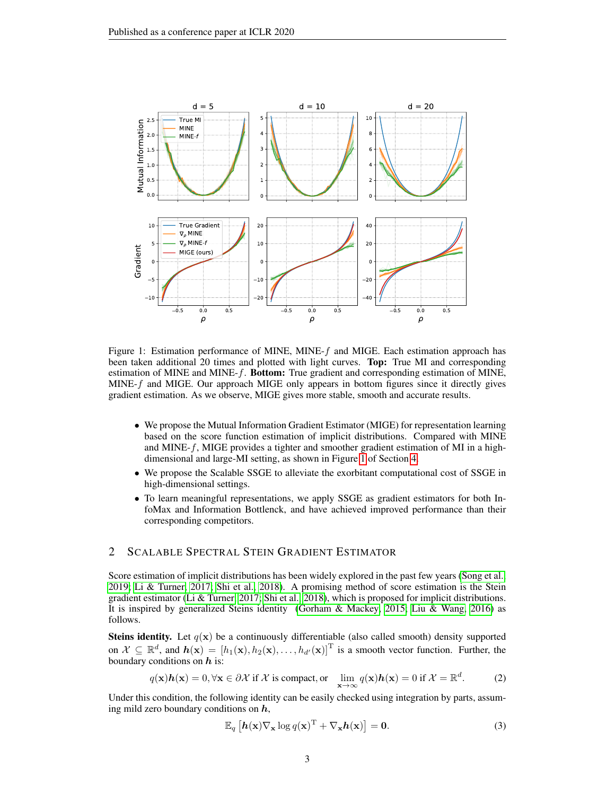

<span id="page-2-0"></span>Figure 1: Estimation performance of MINE, MINE- $f$  and MIGE. Each estimation approach has been taken additional 20 times and plotted with light curves. Top: True MI and corresponding estimation of MINE and MINE- $f$ . **Bottom:** True gradient and corresponding estimation of MINE,  $MINE-f$  and MIGE. Our approach MIGE only appears in bottom figures since it directly gives gradient estimation. As we observe, MIGE gives more stable, smooth and accurate results.

- We propose the Mutual Information Gradient Estimator (MIGE) for representation learning based on the score function estimation of implicit distributions. Compared with MINE and MINE- $f$ , MIGE provides a tighter and smoother gradient estimation of MI in a highdimensional and large-MI setting, as shown in Figure [1](#page-2-0) of Section [4.](#page-5-0)
- We propose the Scalable SSGE to alleviate the exorbitant computational cost of SSGE in high-dimensional settings.
- To learn meaningful representations, we apply SSGE as gradient estimators for both InfoMax and Information Bottlenck, and have achieved improved performance than their corresponding competitors.

## 2 SCALABLE SPECTRAL STEIN GRADIENT ESTIMATOR

Score estimation of implicit distributions has been widely explored in the past few years [\(Song et al.,](#page-11-8) [2019;](#page-11-8) [Li & Turner, 2017;](#page-10-16) [Shi et al., 2018\)](#page-11-7). A promising method of score estimation is the Stein gradient estimator [\(Li & Turner, 2017;](#page-10-16) [Shi et al., 2018\)](#page-11-7), which is proposed for implicit distributions. It is inspired by generalized Steins identity [\(Gorham & Mackey, 2015;](#page-9-14) [Liu & Wang, 2016\)](#page-10-17) as follows.

**Steins identity.** Let  $q(x)$  be a continuously differentiable (also called smooth) density supported on  $\mathcal{X} \subseteq \mathbb{R}^d$ , and  $h(\mathbf{x}) = [h_1(\mathbf{x}), h_2(\mathbf{x}), \dots, h_{d'}(\mathbf{x})]^T$  is a smooth vector function. Further, the boundary conditions on  $h$  is:

$$
q(\mathbf{x})\mathbf{h}(\mathbf{x}) = 0, \forall \mathbf{x} \in \partial \mathcal{X} \text{ if } \mathcal{X} \text{ is compact, or } \lim_{\mathbf{x} \to \infty} q(\mathbf{x})\mathbf{h}(\mathbf{x}) = 0 \text{ if } \mathcal{X} = \mathbb{R}^d. \tag{2}
$$

Under this condition, the following identity can be easily checked using integration by parts, assuming mild zero boundary conditions on  $h$ ,

<span id="page-2-1"></span>
$$
\mathbb{E}_q\left[\mathbf{h}(\mathbf{x})\nabla_{\mathbf{x}}\log q(\mathbf{x})^{\mathrm{T}} + \nabla_{\mathbf{x}}\mathbf{h}(\mathbf{x})\right] = \mathbf{0}.\tag{3}
$$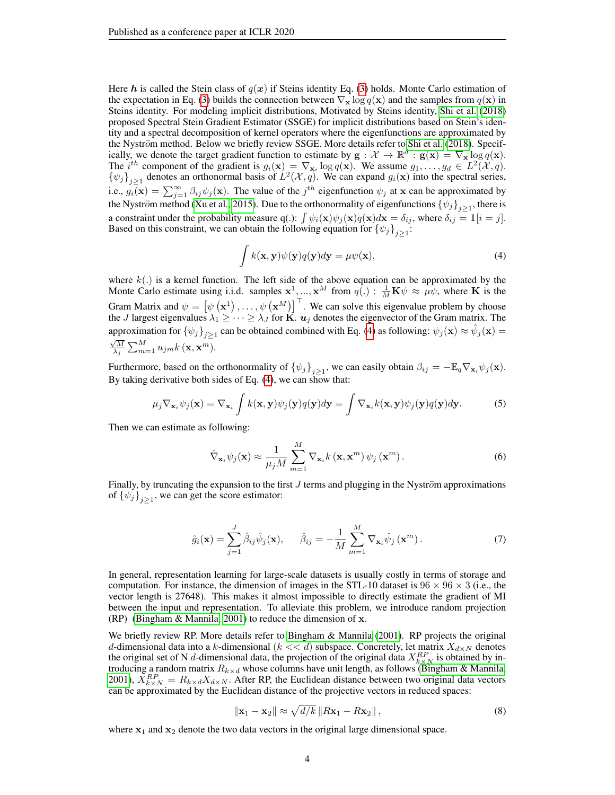Here h is called the Stein class of  $q(x)$  if Steins identity Eq. [\(3\)](#page-2-1) holds. Monte Carlo estimation of the expectation in Eq. [\(3\)](#page-2-1) builds the connection between  $\nabla_{\mathbf{x}} \log q(\mathbf{x})$  and the samples from  $q(\mathbf{x})$  in Steins identity. For modeling implicit distributions, Motivated by Steins identity, [Shi et al.](#page-11-7) [\(2018\)](#page-11-7) proposed Spectral Stein Gradient Estimator (SSGE) for implicit distributions based on Stein's identity and a spectral decomposition of kernel operators where the eigenfunctions are approximated by the Nyström method. Below we briefly review SSGE. More details refer to [Shi et al.](#page-11-7) [\(2018\)](#page-11-7). Specifically, we denote the target gradient function to estimate by  $g: \mathcal{X} \to \mathbb{R}^d : g(x) = \nabla_x \log q(x)$ . The i<sup>th</sup> component of the gradient is  $g_i(\mathbf{x}) = \nabla_{\mathbf{x}_i} \log q(\mathbf{x})$ . We assume  $g_1, \ldots, g_d \in L^2(\mathcal{X}, q)$ .  $\{\psi_j\}_{j\geq 1}$  denotes an orthonormal basis of  $L^2(\mathcal{X}, q)$ . We can expand  $g_i(\mathbf{x})$  into the spectral series, i.e.,  $g_i(\mathbf{x}) = \sum_{j=1}^{\infty} \beta_{ij} \psi_j(\mathbf{x})$ . The value of the  $j^{th}$  eigenfunction  $\psi_j$  at x can be approximated by the Nyström method [\(Xu et al., 2015\)](#page-11-9). Due to the orthonormality of eigenfunctions  $\{\psi_j\}_{j\geq 1}$ , there is a constraint under the probability measure q(.):  $\int \psi_i(\mathbf{x}) \psi_j(\mathbf{x}) q(\mathbf{x}) d\mathbf{x} = \delta_{ij}$ , where  $\delta_{ij} = \mathbb{I}[i = j]$ . Based on this constraint, we can obtain the following equation for  $\{\psi_j\}_{j\geq 1}$ :

<span id="page-3-0"></span>
$$
\int k(\mathbf{x}, \mathbf{y}) \psi(\mathbf{y}) q(\mathbf{y}) d\mathbf{y} = \mu \psi(\mathbf{x}), \tag{4}
$$

where  $k(.)$  is a kernel function. The left side of the above equation can be approximated by the Monte Carlo estimate using i.i.d. samples  $x^1, ..., x^M$  from  $q(.) : \frac{1}{M} K \psi \approx \mu \psi$ , where K is the Gram Matrix and  $\psi = [\psi(\mathbf{x}^1), \dots, \psi(\mathbf{x}^M)]^\top$ . We can solve this eigenvalue problem by choose the J largest eigenvalues  $\lambda_1 \geq \cdots \geq \lambda_J$  for  $\mathbf K$ .  $\bm u_j$  denotes the eigenvector of the Gram matrix. The approximation for  $\{\psi_j\}_{j\geq 1}$  can be obtained combined with Eq. [\(4\)](#page-3-0) as following:  $\psi_j(\mathbf{x}) \approx \hat{\psi}_j(\mathbf{x}) =$  $\frac{\sqrt{M}}{\lambda_j} \sum_{m=1}^M u_{jm} k\left(\mathbf{x}, \mathbf{x}^m\right).$ 

Furthermore, based on the orthonormality of  ${\psi_j}_{j\geq 1}$ , we can easily obtain  $\beta_{ij} = -\mathbb{E}_q \nabla_{\mathbf{x}_i} \psi_j(\mathbf{x})$ . By taking derivative both sides of Eq.  $(4)$ , we can show that:

$$
\mu_j \nabla_{\mathbf{x}_i} \psi_j(\mathbf{x}) = \nabla_{\mathbf{x}_i} \int k(\mathbf{x}, \mathbf{y}) \psi_j(\mathbf{y}) q(\mathbf{y}) d\mathbf{y} = \int \nabla_{\mathbf{x}_i} k(\mathbf{x}, \mathbf{y}) \psi_j(\mathbf{y}) q(\mathbf{y}) d\mathbf{y}.
$$
 (5)

Then we can estimate as following:

$$
\hat{\nabla}_{\mathbf{x}_{i}} \psi_{j}(\mathbf{x}) \approx \frac{1}{\mu_{j} M} \sum_{m=1}^{M} \nabla_{\mathbf{x}_{i}} k(\mathbf{x}, \mathbf{x}^{m}) \psi_{j}(\mathbf{x}^{m}).
$$
\n(6)

Finally, by truncating the expansion to the first  $J$  terms and plugging in the Nyström approximations of  $\{\psi_j\}_{j\geq 1}$ , we can get the score estimator:

$$
\hat{g}_i(\mathbf{x}) = \sum_{j=1}^J \hat{\beta}_{ij} \hat{\psi}_j(\mathbf{x}), \quad \hat{\beta}_{ij} = -\frac{1}{M} \sum_{m=1}^M \nabla_{\mathbf{x}_i} \hat{\psi}_j(\mathbf{x}^m).
$$
\n(7)

In general, representation learning for large-scale datasets is usually costly in terms of storage and computation. For instance, the dimension of images in the STL-10 dataset is  $96 \times 96 \times 3$  (i.e., the vector length is 27648). This makes it almost impossible to directly estimate the gradient of MI between the input and representation. To alleviate this problem, we introduce random projection (RP) [\(Bingham & Mannila, 2001\)](#page-9-15) to reduce the dimension of x.

We briefly review RP. More details refer to [Bingham & Mannila](#page-9-15) [\(2001\)](#page-9-15). RP projects the original d-dimensional data into a k-dimensional ( $k \ll d$ ) subspace. Concretely, let matrix  $X_{d \times N}$  denotes the original set of N d-dimensional data, the projection of the original data  $X_{k\times N}^{RP}$  is obtained by introducing a random matrix  $R_{k \times d}$  whose columns have unit length, as follows [\(Bingham & Mannila,](#page-9-15) [2001\)](#page-9-15),  $\bar{X}_{k\times N}^{RP} = R_{k\times d}X_{d\times N}$ . After RP, the Euclidean distance between two original data vectors can be approximated by the Euclidean distance of the projective vectors in reduced spaces:

<span id="page-3-1"></span>
$$
\|\mathbf{x}_1 - \mathbf{x}_2\| \approx \sqrt{d/k} \|R\mathbf{x}_1 - R\mathbf{x}_2\|,
$$
\n(8)

where  $x_1$  and  $x_2$  denote the two data vectors in the original large dimensional space.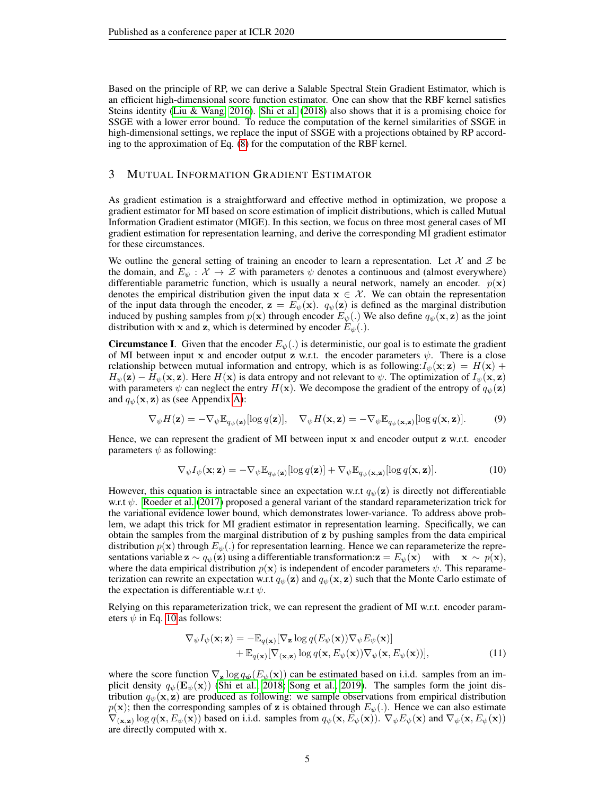Based on the principle of RP, we can derive a Salable Spectral Stein Gradient Estimator, which is an efficient high-dimensional score function estimator. One can show that the RBF kernel satisfies Steins identity [\(Liu & Wang, 2016\)](#page-10-17). [Shi et al.](#page-11-7) [\(2018\)](#page-11-7) also shows that it is a promising choice for SSGE with a lower error bound. To reduce the computation of the kernel similarities of SSGE in high-dimensional settings, we replace the input of SSGE with a projections obtained by RP according to the approximation of Eq. [\(8\)](#page-3-1) for the computation of the RBF kernel.

#### 3 MUTUAL INFORMATION GRADIENT ESTIMATOR

As gradient estimation is a straightforward and effective method in optimization, we propose a gradient estimator for MI based on score estimation of implicit distributions, which is called Mutual Information Gradient estimator (MIGE). In this section, we focus on three most general cases of MI gradient estimation for representation learning, and derive the corresponding MI gradient estimator for these circumstances.

We outline the general setting of training an encoder to learn a representation. Let  $\mathcal X$  and  $\mathcal Z$  be the domain, and  $E_{\psi} : \mathcal{X} \to \mathcal{Z}$  with parameters  $\psi$  denotes a continuous and (almost everywhere) differentiable parametric function, which is usually a neural network, namely an encoder.  $p(x)$ denotes the empirical distribution given the input data  $x \in \mathcal{X}$ . We can obtain the representation of the input data through the encoder,  $z = E_{\psi}(x)$ .  $q_{\psi}(z)$  is defined as the marginal distribution induced by pushing samples from  $p(x)$  through encoder  $E_{\psi}(\cdot)$ . We also define  $q_{\psi}(\mathbf{x}, \mathbf{z})$  as the joint distribution with x and z, which is determined by encoder  $E_{\psi}(.)$ .

**Circumstance I.** Given that the encoder  $E_{\psi}$ .) is deterministic, our goal is to estimate the gradient of MI between input x and encoder output z w.r.t. the encoder parameters  $\psi$ . There is a close relationship between mutual information and entropy, which is as following: $I_{\psi}(\mathbf{x}; \mathbf{z}) = H(\mathbf{x}) +$  $H_{\psi}(\mathbf{z}) - H_{\psi}(\mathbf{x}, \mathbf{z})$ . Here  $H(\mathbf{x})$  is data entropy and not relevant to  $\psi$ . The optimization of  $I_{\psi}(\mathbf{x}, \mathbf{z})$ with parameters  $\psi$  can neglect the entry  $H(\mathbf{x})$ . We decompose the gradient of the entropy of  $q_{\psi}(\mathbf{z})$ and  $q_{\psi}(\mathbf{x}, \mathbf{z})$  as (see Appendix [A\)](#page-12-0):

$$
\nabla_{\psi} H(\mathbf{z}) = -\nabla_{\psi} \mathbb{E}_{q_{\psi}(\mathbf{z})}[\log q(\mathbf{z})], \quad \nabla_{\psi} H(\mathbf{x}, \mathbf{z}) = -\nabla_{\psi} \mathbb{E}_{q_{\psi}(\mathbf{x}, \mathbf{z})}[\log q(\mathbf{x}, \mathbf{z})]. \tag{9}
$$

Hence, we can represent the gradient of MI between input x and encoder output z w.r.t. encoder parameters  $\psi$  as following:

<span id="page-4-0"></span>
$$
\nabla_{\psi} I_{\psi}(\mathbf{x}; \mathbf{z}) = -\nabla_{\psi} \mathbb{E}_{q_{\psi}(\mathbf{z})} [\log q(\mathbf{z})] + \nabla_{\psi} \mathbb{E}_{q_{\psi}(\mathbf{x}, \mathbf{z})} [\log q(\mathbf{x}, \mathbf{z})]. \tag{10}
$$

However, this equation is intractable since an expectation w.r.t  $q_{\psi}(\mathbf{z})$  is directly not differentiable w.r.t  $\psi$ . [Roeder et al.](#page-10-15) [\(2017\)](#page-10-15) proposed a general variant of the standard reparameterization trick for the variational evidence lower bound, which demonstrates lower-variance. To address above problem, we adapt this trick for MI gradient estimator in representation learning. Specifically, we can obtain the samples from the marginal distribution of z by pushing samples from the data empirical distribution  $p(x)$  through  $E_{\psi}(.)$  for representation learning. Hence we can reparameterize the representations variable  $\mathbf{z} \sim q_{\psi}(\mathbf{z})$  using a differentiable transformation: $\mathbf{z} = E_{\psi}(\mathbf{x})$  with  $\mathbf{x} \sim p(\mathbf{x})$ , where the data empirical distribution  $p(x)$  is independent of encoder parameters  $\psi$ . This reparameterization can rewrite an expectation w.r.t  $q_{\psi}(\mathbf{z})$  and  $q_{\psi}(\mathbf{x}, \mathbf{z})$  such that the Monte Carlo estimate of the expectation is differentiable w.r.t  $\psi$ .

Relying on this reparameterization trick, we can represent the gradient of MI w.r.t. encoder parameters  $\psi$  in Eq. [10](#page-4-0) as follows:

$$
\nabla_{\psi} I_{\psi}(\mathbf{x}; \mathbf{z}) = -\mathbb{E}_{q(\mathbf{x})} [\nabla_{\mathbf{z}} \log q(E_{\psi}(\mathbf{x})) \nabla_{\psi} E_{\psi}(\mathbf{x})] \n+ \mathbb{E}_{q(\mathbf{x})} [\nabla_{(\mathbf{x}, \mathbf{z})} \log q(\mathbf{x}, E_{\psi}(\mathbf{x})) \nabla_{\psi} (\mathbf{x}, E_{\psi}(\mathbf{x}))],
$$
\n(11)

where the score function  $\nabla_{\mathbf{z}} \log q_{\psi}(E_{\psi}(\mathbf{x}))$  can be estimated based on i.i.d. samples from an implicit density  $q_{\psi}(\mathbf{E}_{\psi}(\mathbf{x}))$  [\(Shi et al., 2018;](#page-11-7) [Song et al., 2019\)](#page-11-8). The samples form the joint distribution  $q_{\psi}(\mathbf{x}, \mathbf{z})$  are produced as following: we sample observations from empirical distribution  $p(x)$ ; then the corresponding samples of z is obtained through  $E_{\psi}$ . Hence we can also estimate  $\nabla_{(\mathbf{x},\mathbf{z})} \log q(\mathbf{x}, E_{\psi}(\mathbf{x}))$  based on i.i.d. samples from  $q_{\psi}(\mathbf{x}, E_{\psi}(\mathbf{x}))$ .  $\nabla_{\psi} E_{\psi}(\mathbf{x})$  and  $\nabla_{\psi} (\mathbf{x}, E_{\psi}(\mathbf{x}))$ are directly computed with x.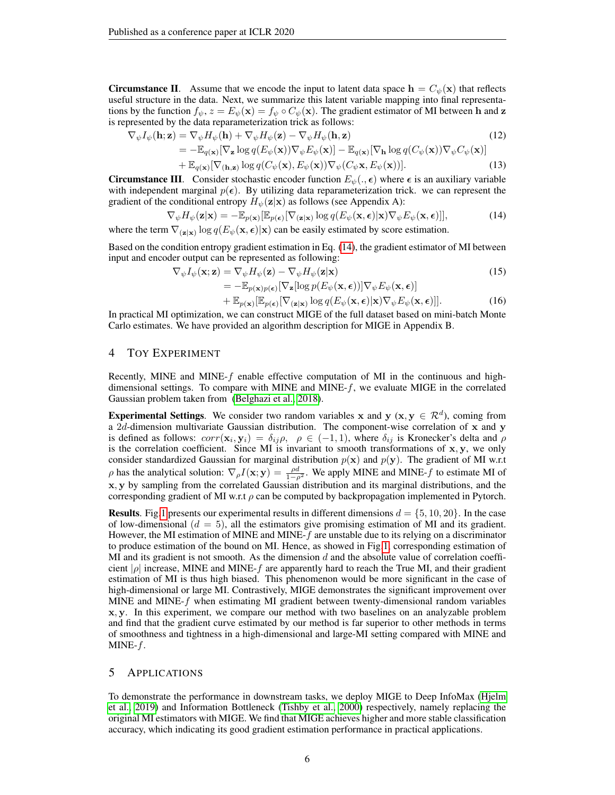**Circumstance II.** Assume that we encode the input to latent data space  $h = C_{\psi}(\mathbf{x})$  that reflects useful structure in the data. Next, we summarize this latent variable mapping into final representations by the function  $f_{\psi}$ ,  $z = E_{\psi}(\mathbf{x}) = f_{\psi} \circ C_{\psi}(\mathbf{x})$ . The gradient estimator of MI between h and z is represented by the data reparameterization trick as follows:

$$
\nabla_{\psi} I_{\psi}(\mathbf{h}; \mathbf{z}) = \nabla_{\psi} H_{\psi}(\mathbf{h}) + \nabla_{\psi} H_{\psi}(\mathbf{z}) - \nabla_{\psi} H_{\psi}(\mathbf{h}, \mathbf{z})
$$
(12)  
= 
$$
- \mathbb{E}_{q(\mathbf{x})} [\nabla_{\mathbf{z}} \log q(E_{\psi}(\mathbf{x})) \nabla_{\psi} E_{\psi}(\mathbf{x})] - \mathbb{E}_{q(\mathbf{x})} [\nabla_{\mathbf{h}} \log q(C_{\psi}(\mathbf{x})) \nabla_{\psi} C_{\psi}(\mathbf{x})]
$$
(13)

<span id="page-5-1"></span>+ 
$$
\mathbb{E}_{q(\mathbf{x})}[\nabla_{(\mathbf{h},\mathbf{z})}\log q(C_{\psi}(\mathbf{x}),E_{\psi}(\mathbf{x}))\nabla_{\psi}(C_{\psi}\mathbf{x},E_{\psi}(\mathbf{x}))].
$$
 (13)

**Circumstance III.** Consider stochastic encoder function  $E_{\psi}(., \epsilon)$  where  $\epsilon$  is an auxiliary variable with independent marginal  $p(\epsilon)$ . By utilizing data reparameterization trick. we can represent the gradient of the conditional entropy  $H_{\psi}(\mathbf{z}|\mathbf{x})$  as follows (see Appendix A):

$$
\nabla_{\psi} H_{\psi}(\mathbf{z}|\mathbf{x}) = -\mathbb{E}_{p(\mathbf{x})}[\mathbb{E}_{p(\mathbf{\epsilon})}[\nabla_{(\mathbf{z}|\mathbf{x})}\log q(E_{\psi}(\mathbf{x}, \mathbf{\epsilon})|\mathbf{x})\nabla_{\psi} E_{\psi}(\mathbf{x}, \mathbf{\epsilon})]],
$$
(14)

where the term  $\nabla_{(\mathbf{z}|\mathbf{x})} \log q(E_{\psi}(\mathbf{x}, \epsilon)|\mathbf{x})$  can be easily estimated by score estimation.

Based on the condition entropy gradient estimation in Eq. [\(14\)](#page-5-1), the gradient estimator of MI between input and encoder output can be represented as following:

$$
\nabla_{\psi} I_{\psi}(\mathbf{x}; \mathbf{z}) = \nabla_{\psi} H_{\psi}(\mathbf{z}) - \nabla_{\psi} H_{\psi}(\mathbf{z} | \mathbf{x})
$$
\n
$$
= -\mathbb{E}_{p(\mathbf{x})p(\epsilon)} [\nabla_{\mathbf{z}} [\log p(E_{\psi}(\mathbf{x}, \epsilon))] \nabla_{\psi} E_{\psi}(\mathbf{x}, \epsilon)]
$$
\n
$$
+ \mathbb{E}_{p(\mathbf{x})} [\mathbb{E}_{p(\epsilon)} [\nabla_{(\mathbf{z} | \mathbf{x})} \log q(E_{\psi}(\mathbf{x}, \epsilon) | \mathbf{x}) \nabla_{\psi} E_{\psi}(\mathbf{x}, \epsilon)]].
$$
\n(16)

In practical MI optimization, we can construct MIGE of the full dataset based on mini-batch Monte Carlo estimates. We have provided an algorithm description for MIGE in Appendix B.

## <span id="page-5-0"></span>4 TOY EXPERIMENT

Recently, MINE and MINE- $f$  enable effective computation of MI in the continuous and highdimensional settings. To compare with MINE and MINE-f, we evaluate MIGE in the correlated Gaussian problem taken from [\(Belghazi et al., 2018\)](#page-9-13).

**Experimental Settings**. We consider two random variables x and y ( $x, y \in \mathbb{R}^d$ ), coming from a 2d-dimension multivariate Gaussian distribution. The component-wise correlation of  $x$  and  $y$ is defined as follows:  $corr(\mathbf{x}_i, \mathbf{y}_i) = \delta_{ij} \rho$ ,  $\rho \in (-1, 1)$ , where  $\delta_{ij}$  is Kronecker's delta and  $\rho$ is the correlation coefficient. Since MI is invariant to smooth transformations of  $x, y$ , we only consider standardized Gaussian for marginal distribution  $p(x)$  and  $p(y)$ . The gradient of MI w.r.t  $\rho$  has the analytical solution:  $\nabla_{\rho} I(\mathbf{x}; \mathbf{y}) = \frac{\rho d}{1-\rho^2}$ . We apply MINE and MINE-f to estimate MI of x, y by sampling from the correlated Gaussian distribution and its marginal distributions, and the corresponding gradient of MI w.r.t  $\rho$  can be computed by backpropagation implemented in Pytorch.

**Results.** Fig[.1](#page-2-0) presents our experimental results in different dimensions  $d = \{5, 10, 20\}$ . In the case of low-dimensional  $(d = 5)$ , all the estimators give promising estimation of MI and its gradient. However, the MI estimation of MINE and MINE-f are unstable due to its relying on a discriminator to produce estimation of the bound on MI. Hence, as showed in Fig[.1,](#page-2-0) corresponding estimation of MI and its gradient is not smooth. As the dimension  $d$  and the absolute value of correlation coefficient  $|\rho|$  increase, MINE and MINE-f are apparently hard to reach the True MI, and their gradient estimation of MI is thus high biased. This phenomenon would be more significant in the case of high-dimensional or large MI. Contrastively, MIGE demonstrates the significant improvement over MINE and MINE-f when estimating MI gradient between twenty-dimensional random variables x, y. In this experiment, we compare our method with two baselines on an analyzable problem and find that the gradient curve estimated by our method is far superior to other methods in terms of smoothness and tightness in a high-dimensional and large-MI setting compared with MINE and MINE- $f$ .

## 5 APPLICATIONS

To demonstrate the performance in downstream tasks, we deploy MIGE to Deep InfoMax [\(Hjelm](#page-9-5) [et al., 2019\)](#page-9-5) and Information Bottleneck [\(Tishby et al., 2000\)](#page-11-1) respectively, namely replacing the original MI estimators with MIGE. We find that MIGE achieves higher and more stable classification accuracy, which indicating its good gradient estimation performance in practical applications.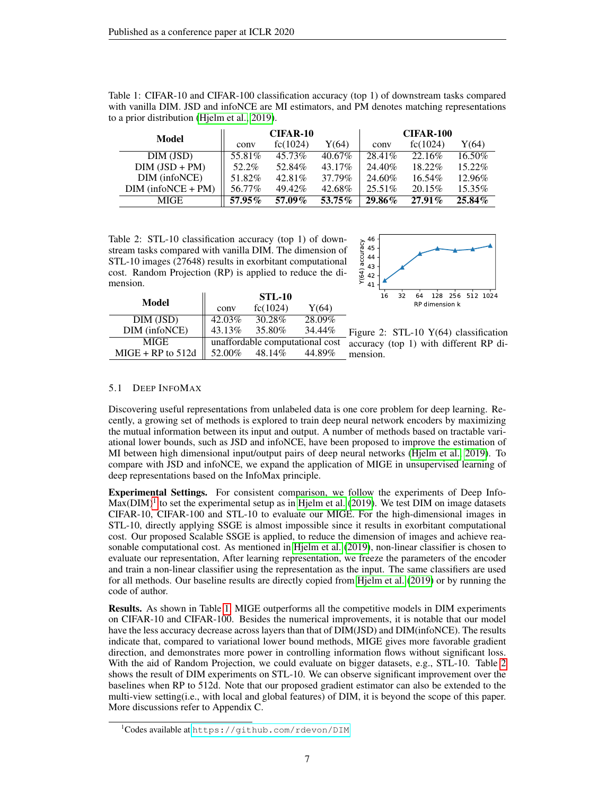<span id="page-6-1"></span>

| Table 1: CIFAR-10 and CIFAR-100 classification accuracy (top 1) of downstream tasks compared |  |
|----------------------------------------------------------------------------------------------|--|
| with vanilla DIM. JSD and infoNCE are MI estimators, and PM denotes matching representations |  |
| to a prior distribution (Hielm et al., 2019).                                                |  |

| <b>Model</b>         | CIFAR-10 |          |           | <b>CIFAR-100</b> |           |        |  |
|----------------------|----------|----------|-----------|------------------|-----------|--------|--|
|                      | conv     | fc(1024) | Y(64)     | conv             | fc(1024)  | Y(64)  |  |
| DIM (JSD)            | 55.81%   | 45.73%   | $40.67\%$ | 28.41%           | 22.16\%   | 16.50% |  |
| $DIM (JSD + PM)$     | 52.2%    | 52.84%   | 43.17%    | 24.40\%          | 18.22%    | 15.22% |  |
| DIM (infoNCE)        | 51.82%   | 42.81%   | 37.79%    | 24.60%           | $16.54\%$ | 12.96% |  |
| $DIM (infoNCE + PM)$ | 56.77%   | 49.42%   | 42.68%    | $25.51\%$        | 20.15%    | 15.35% |  |
| MIGE.                | 57.95%   | 57.09%   | 53.75%    | 29.86%           | $27.91\%$ | 25.84% |  |

<span id="page-6-2"></span>Table 2: STL-10 classification accuracy (top 1) of downstream tasks compared with vanilla DIM. The dimension of STL-10 images (27648) results in exorbitant computational cost. Random Projection (RP) is applied to reduce the dimension.



|                     | <b>STL-10</b> |                                 |        |  |  |
|---------------------|---------------|---------------------------------|--------|--|--|
| Model               | conv          | fc(1024)                        | Y(64)  |  |  |
| DIM (JSD)           | 42.03%        | 30.28%                          | 28.09% |  |  |
| DIM (infoNCE)       | 43.13%        | 35.80%                          | 34.44% |  |  |
| MIGE                |               | unaffordable computational cost |        |  |  |
| $MIGE + RP$ to 512d | 52.00%        | 48.14%                          | 44.89% |  |  |

<span id="page-6-3"></span>

## 5.1 DEEP INFOMAX

Discovering useful representations from unlabeled data is one core problem for deep learning. Recently, a growing set of methods is explored to train deep neural network encoders by maximizing the mutual information between its input and output. A number of methods based on tractable variational lower bounds, such as JSD and infoNCE, have been proposed to improve the estimation of MI between high dimensional input/output pairs of deep neural networks [\(Hjelm et al., 2019\)](#page-9-5). To compare with JSD and infoNCE, we expand the application of MIGE in unsupervised learning of deep representations based on the InfoMax principle.

Experimental Settings. For consistent comparison, we follow the experiments of Deep Info- $Max(DIM)^1$  $Max(DIM)^1$  to set the experimental setup as in [Hjelm et al.](#page-9-5) [\(2019\)](#page-9-5). We test DIM on image datasets CIFAR-10, CIFAR-100 and STL-10 to evaluate our MIGE. For the high-dimensional images in STL-10, directly applying SSGE is almost impossible since it results in exorbitant computational cost. Our proposed Scalable SSGE is applied, to reduce the dimension of images and achieve reasonable computational cost. As mentioned in [Hjelm et al.](#page-9-5) [\(2019\)](#page-9-5), non-linear classifier is chosen to evaluate our representation, After learning representation, we freeze the parameters of the encoder and train a non-linear classifier using the representation as the input. The same classifiers are used for all methods. Our baseline results are directly copied from [Hjelm et al.](#page-9-5) [\(2019\)](#page-9-5) or by running the code of author.

Results. As shown in Table [1,](#page-6-1) MIGE outperforms all the competitive models in DIM experiments on CIFAR-10 and CIFAR-100. Besides the numerical improvements, it is notable that our model have the less accuracy decrease across layers than that of DIM(JSD) and DIM(infoNCE). The results indicate that, compared to variational lower bound methods, MIGE gives more favorable gradient direction, and demonstrates more power in controlling information flows without significant loss. With the aid of Random Projection, we could evaluate on bigger datasets, e.g., STL-10. Table [2](#page-6-2) shows the result of DIM experiments on STL-10. We can observe significant improvement over the baselines when RP to 512d. Note that our proposed gradient estimator can also be extended to the multi-view setting(i.e., with local and global features) of DIM, it is beyond the scope of this paper. More discussions refer to Appendix C.

<span id="page-6-0"></span><sup>1</sup>Codes available at <https://github.com/rdevon/DIM>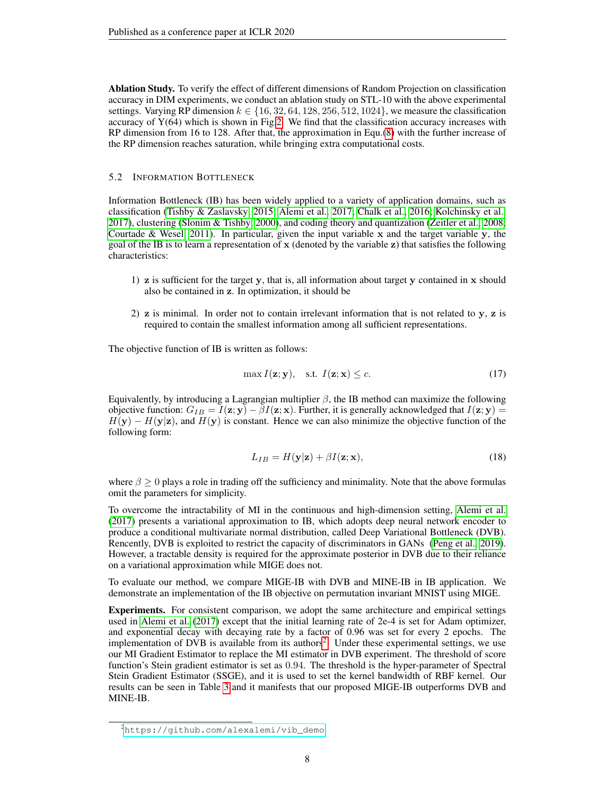Ablation Study. To verify the effect of different dimensions of Random Projection on classification accuracy in DIM experiments, we conduct an ablation study on STL-10 with the above experimental settings. Varying RP dimension  $k \in \{16, 32, 64, 128, 256, 512, 1024\}$ , we measure the classification accuracy of  $Y(64)$  which is shown in Fig[.2.](#page-6-3) We find that the classification accuracy increases with RP dimension from 16 to 128. After that, the approximation in Equ.[\(8\)](#page-3-1) with the further increase of the RP dimension reaches saturation, while bringing extra computational costs.

#### 5.2 INFORMATION BOTTLENECK

Information Bottleneck (IB) has been widely applied to a variety of application domains, such as classification [\(Tishby & Zaslavsky, 2015;](#page-11-2) [Alemi et al., 2017;](#page-9-6) [Chalk et al., 2016;](#page-9-16) [Kolchinsky et al.,](#page-9-17) [2017\)](#page-9-17), clustering [\(Slonim & Tishby, 2000\)](#page-11-10), and coding theory and quantization [\(Zeitler et al., 2008;](#page-11-11) [Courtade & Wesel, 2011\)](#page-9-18). In particular, given the input variable x and the target variable y, the goal of the IB is to learn a representation of  $x$  (denoted by the variable  $z$ ) that satisfies the following characteristics:

- 1)  $\bar{z}$  is sufficient for the target y, that is, all information about target y contained in  $\bar{x}$  should also be contained in z. In optimization, it should be
- 2)  $\bf{z}$  is minimal. In order not to contain irrelevant information that is not related to  $\bf{y}$ ,  $\bf{z}$  is required to contain the smallest information among all sufficient representations.

The objective function of IB is written as follows:

$$
\max I(\mathbf{z}; \mathbf{y}), \quad \text{s.t. } I(\mathbf{z}; \mathbf{x}) \le c. \tag{17}
$$

Equivalently, by introducing a Lagrangian multiplier  $\beta$ , the IB method can maximize the following objective function:  $G_{IB} = I(z; y) - \beta I(z; x)$ . Further, it is generally acknowledged that  $I(z; y) =$  $H(y) - H(y|z)$ , and  $H(y)$  is constant. Hence we can also minimize the objective function of the following form:

$$
L_{IB} = H(\mathbf{y}|\mathbf{z}) + \beta I(\mathbf{z}; \mathbf{x}),\tag{18}
$$

where  $\beta > 0$  plays a role in trading off the sufficiency and minimality. Note that the above formulas omit the parameters for simplicity.

To overcome the intractability of MI in the continuous and high-dimension setting, [Alemi et al.](#page-9-6) [\(2017\)](#page-9-6) presents a variational approximation to IB, which adopts deep neural network encoder to produce a conditional multivariate normal distribution, called Deep Variational Bottleneck (DVB). Rencently, DVB is exploited to restrict the capacity of discriminators in GANs [\(Peng et al., 2019\)](#page-10-18). However, a tractable density is required for the approximate posterior in DVB due to their reliance on a variational approximation while MIGE does not.

To evaluate our method, we compare MIGE-IB with DVB and MINE-IB in IB application. We demonstrate an implementation of the IB objective on permutation invariant MNIST using MIGE.

Experiments. For consistent comparison, we adopt the same architecture and empirical settings used in [Alemi et al.](#page-9-6) [\(2017\)](#page-9-6) except that the initial learning rate of 2e-4 is set for Adam optimizer, and exponential decay with decaying rate by a factor of 0.96 was set for every 2 epochs. The implementation of DVB is available from its authors<sup>[2](#page-7-0)</sup>. Under these experimental settings, we use our MI Gradient Estimator to replace the MI estimator in DVB experiment. The threshold of score function's Stein gradient estimator is set as 0.94. The threshold is the hyper-parameter of Spectral Stein Gradient Estimator (SSGE), and it is used to set the kernel bandwidth of RBF kernel. Our results can be seen in Table [3](#page-8-0) and it manifests that our proposed MIGE-IB outperforms DVB and MINE-IB.

<span id="page-7-0"></span><sup>2</sup>[https://github.com/alexalemi/vib\\_demo](https://github.com/alexalemi/vib_demo)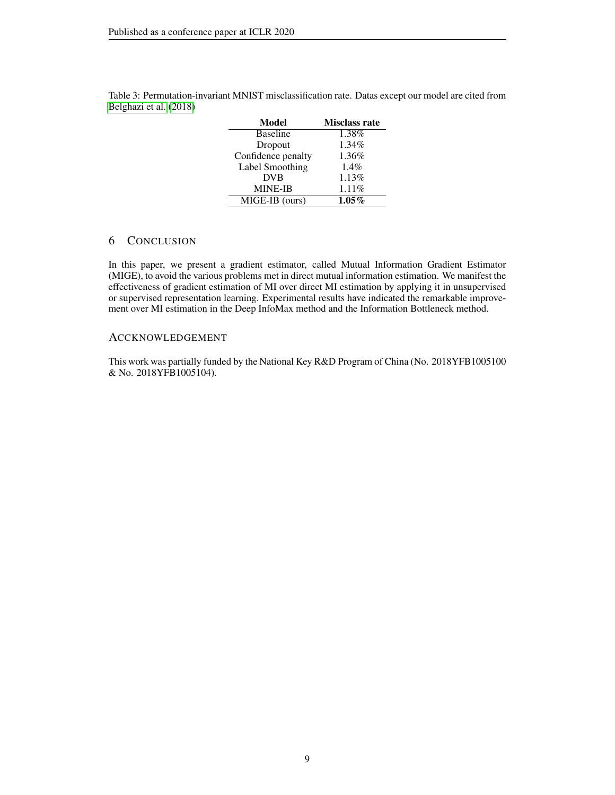| <b>Misclass rate</b> |
|----------------------|
| 1.38%                |
| 1.34%                |
| 1.36%                |
| 1.4%                 |
| 1.13%                |
| 1.11%                |
| $1.05\%$             |
|                      |

<span id="page-8-0"></span>Table 3: Permutation-invariant MNIST misclassification rate. Datas except our model are cited from [Belghazi et al.](#page-9-13) [\(2018\)](#page-9-13)

## 6 CONCLUSION

In this paper, we present a gradient estimator, called Mutual Information Gradient Estimator (MIGE), to avoid the various problems met in direct mutual information estimation. We manifest the effectiveness of gradient estimation of MI over direct MI estimation by applying it in unsupervised or supervised representation learning. Experimental results have indicated the remarkable improvement over MI estimation in the Deep InfoMax method and the Information Bottleneck method.

## ACCKNOWLEDGEMENT

This work was partially funded by the National Key R&D Program of China (No. 2018YFB1005100 & No. 2018YFB1005104).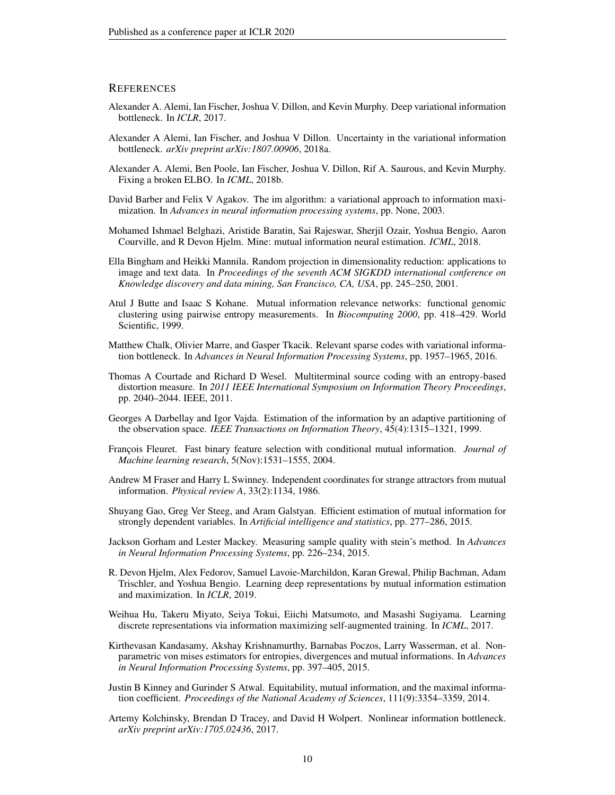#### **REFERENCES**

- <span id="page-9-6"></span>Alexander A. Alemi, Ian Fischer, Joshua V. Dillon, and Kevin Murphy. Deep variational information bottleneck. In *ICLR*, 2017.
- <span id="page-9-7"></span>Alexander A Alemi, Ian Fischer, and Joshua V Dillon. Uncertainty in the variational information bottleneck. *arXiv preprint arXiv:1807.00906*, 2018a.
- <span id="page-9-4"></span>Alexander A. Alemi, Ben Poole, Ian Fischer, Joshua V. Dillon, Rif A. Saurous, and Kevin Murphy. Fixing a broken ELBO. In *ICML*, 2018b.
- <span id="page-9-12"></span>David Barber and Felix V Agakov. The im algorithm: a variational approach to information maximization. In *Advances in neural information processing systems*, pp. None, 2003.
- <span id="page-9-13"></span>Mohamed Ishmael Belghazi, Aristide Baratin, Sai Rajeswar, Sherjil Ozair, Yoshua Bengio, Aaron Courville, and R Devon Hjelm. Mine: mutual information neural estimation. *ICML*, 2018.
- <span id="page-9-15"></span>Ella Bingham and Heikki Mannila. Random projection in dimensionality reduction: applications to image and text data. In *Proceedings of the seventh ACM SIGKDD international conference on Knowledge discovery and data mining, San Francisco, CA, USA*, pp. 245–250, 2001.
- <span id="page-9-2"></span>Atul J Butte and Isaac S Kohane. Mutual information relevance networks: functional genomic clustering using pairwise entropy measurements. In *Biocomputing 2000*, pp. 418–429. World Scientific, 1999.
- <span id="page-9-16"></span>Matthew Chalk, Olivier Marre, and Gasper Tkacik. Relevant sparse codes with variational information bottleneck. In *Advances in Neural Information Processing Systems*, pp. 1957–1965, 2016.
- <span id="page-9-18"></span>Thomas A Courtade and Richard D Wesel. Multiterminal source coding with an entropy-based distortion measure. In *2011 IEEE International Symposium on Information Theory Proceedings*, pp. 2040–2044. IEEE, 2011.
- <span id="page-9-9"></span>Georges A Darbellay and Igor Vajda. Estimation of the information by an adaptive partitioning of the observation space. *IEEE Transactions on Information Theory*, 45(4):1315–1321, 1999.
- <span id="page-9-1"></span>François Fleuret. Fast binary feature selection with conditional mutual information. *Journal of Machine learning research*, 5(Nov):1531–1555, 2004.
- <span id="page-9-8"></span>Andrew M Fraser and Harry L Swinney. Independent coordinates for strange attractors from mutual information. *Physical review A*, 33(2):1134, 1986.
- <span id="page-9-11"></span>Shuyang Gao, Greg Ver Steeg, and Aram Galstyan. Efficient estimation of mutual information for strongly dependent variables. In *Artificial intelligence and statistics*, pp. 277–286, 2015.
- <span id="page-9-14"></span>Jackson Gorham and Lester Mackey. Measuring sample quality with stein's method. In *Advances in Neural Information Processing Systems*, pp. 226–234, 2015.
- <span id="page-9-5"></span>R. Devon Hjelm, Alex Fedorov, Samuel Lavoie-Marchildon, Karan Grewal, Philip Bachman, Adam Trischler, and Yoshua Bengio. Learning deep representations by mutual information estimation and maximization. In *ICLR*, 2019.
- <span id="page-9-3"></span>Weihua Hu, Takeru Miyato, Seiya Tokui, Eiichi Matsumoto, and Masashi Sugiyama. Learning discrete representations via information maximizing self-augmented training. In *ICML*, 2017.
- <span id="page-9-10"></span>Kirthevasan Kandasamy, Akshay Krishnamurthy, Barnabas Poczos, Larry Wasserman, et al. Nonparametric von mises estimators for entropies, divergences and mutual informations. In *Advances in Neural Information Processing Systems*, pp. 397–405, 2015.
- <span id="page-9-0"></span>Justin B Kinney and Gurinder S Atwal. Equitability, mutual information, and the maximal information coefficient. *Proceedings of the National Academy of Sciences*, 111(9):3354–3359, 2014.
- <span id="page-9-17"></span>Artemy Kolchinsky, Brendan D Tracey, and David H Wolpert. Nonlinear information bottleneck. *arXiv preprint arXiv:1705.02436*, 2017.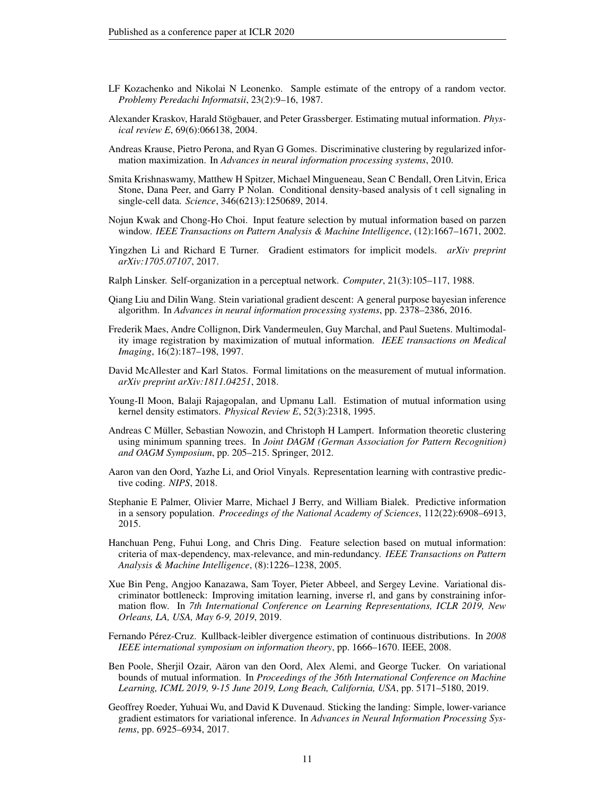- <span id="page-10-9"></span>LF Kozachenko and Nikolai N Leonenko. Sample estimate of the entropy of a random vector. *Problemy Peredachi Informatsii*, 23(2):9–16, 1987.
- <span id="page-10-10"></span>Alexander Kraskov, Harald Stögbauer, and Peter Grassberger. Estimating mutual information. *Physical review E*, 69(6):066138, 2004.
- <span id="page-10-7"></span>Andreas Krause, Pietro Perona, and Ryan G Gomes. Discriminative clustering by regularized information maximization. In *Advances in neural information processing systems*, 2010.
- <span id="page-10-4"></span>Smita Krishnaswamy, Matthew H Spitzer, Michael Mingueneau, Sean C Bendall, Oren Litvin, Erica Stone, Dana Peer, and Garry P Nolan. Conditional density-based analysis of t cell signaling in single-cell data. *Science*, 346(6213):1250689, 2014.
- <span id="page-10-0"></span>Nojun Kwak and Chong-Ho Choi. Input feature selection by mutual information based on parzen window. *IEEE Transactions on Pattern Analysis & Machine Intelligence*, (12):1667–1671, 2002.
- <span id="page-10-16"></span>Yingzhen Li and Richard E Turner. Gradient estimators for implicit models. *arXiv preprint arXiv:1705.07107*, 2017.
- <span id="page-10-6"></span>Ralph Linsker. Self-organization in a perceptual network. *Computer*, 21(3):105–117, 1988.
- <span id="page-10-17"></span>Qiang Liu and Dilin Wang. Stein variational gradient descent: A general purpose bayesian inference algorithm. In *Advances in neural information processing systems*, pp. 2378–2386, 2016.
- <span id="page-10-3"></span>Frederik Maes, Andre Collignon, Dirk Vandermeulen, Guy Marchal, and Paul Suetens. Multimodality image registration by maximization of mutual information. *IEEE transactions on Medical Imaging*, 16(2):187–198, 1997.
- <span id="page-10-14"></span>David McAllester and Karl Statos. Formal limitations on the measurement of mutual information. *arXiv preprint arXiv:1811.04251*, 2018.
- <span id="page-10-12"></span>Young-Il Moon, Balaji Rajagopalan, and Upmanu Lall. Estimation of mutual information using kernel density estimators. *Physical Review E*, 52(3):2318, 1995.
- <span id="page-10-2"></span>Andreas C Müller, Sebastian Nowozin, and Christoph H Lampert. Information theoretic clustering using minimum spanning trees. In *Joint DAGM (German Association for Pattern Recognition) and OAGM Symposium*, pp. 205–215. Springer, 2012.
- <span id="page-10-8"></span>Aaron van den Oord, Yazhe Li, and Oriol Vinyals. Representation learning with contrastive predictive coding. *NIPS*, 2018.
- <span id="page-10-5"></span>Stephanie E Palmer, Olivier Marre, Michael J Berry, and William Bialek. Predictive information in a sensory population. *Proceedings of the National Academy of Sciences*, 112(22):6908–6913, 2015.
- <span id="page-10-1"></span>Hanchuan Peng, Fuhui Long, and Chris Ding. Feature selection based on mutual information: criteria of max-dependency, max-relevance, and min-redundancy. *IEEE Transactions on Pattern Analysis & Machine Intelligence*, (8):1226–1238, 2005.
- <span id="page-10-18"></span>Xue Bin Peng, Angjoo Kanazawa, Sam Toyer, Pieter Abbeel, and Sergey Levine. Variational discriminator bottleneck: Improving imitation learning, inverse rl, and gans by constraining information flow. In *7th International Conference on Learning Representations, ICLR 2019, New Orleans, LA, USA, May 6-9, 2019*, 2019.
- <span id="page-10-11"></span>Fernando Perez-Cruz. Kullback-leibler divergence estimation of continuous distributions. In ´ *2008 IEEE international symposium on information theory*, pp. 1666–1670. IEEE, 2008.
- <span id="page-10-13"></span>Ben Poole, Sherjil Ozair, Aäron van den Oord, Alex Alemi, and George Tucker. On variational bounds of mutual information. In *Proceedings of the 36th International Conference on Machine Learning, ICML 2019, 9-15 June 2019, Long Beach, California, USA*, pp. 5171–5180, 2019.
- <span id="page-10-15"></span>Geoffrey Roeder, Yuhuai Wu, and David K Duvenaud. Sticking the landing: Simple, lower-variance gradient estimators for variational inference. In *Advances in Neural Information Processing Systems*, pp. 6925–6934, 2017.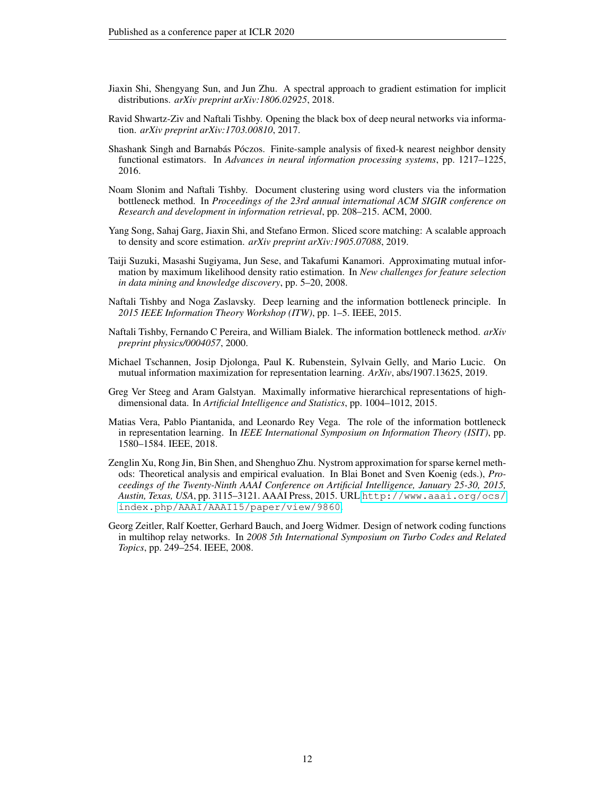- <span id="page-11-7"></span>Jiaxin Shi, Shengyang Sun, and Jun Zhu. A spectral approach to gradient estimation for implicit distributions. *arXiv preprint arXiv:1806.02925*, 2018.
- <span id="page-11-5"></span>Ravid Shwartz-Ziv and Naftali Tishby. Opening the black box of deep neural networks via information. *arXiv preprint arXiv:1703.00810*, 2017.
- <span id="page-11-6"></span>Shashank Singh and Barnabás Póczos. Finite-sample analysis of fixed-k nearest neighbor density functional estimators. In *Advances in neural information processing systems*, pp. 1217–1225, 2016.
- <span id="page-11-10"></span>Noam Slonim and Naftali Tishby. Document clustering using word clusters via the information bottleneck method. In *Proceedings of the 23rd annual international ACM SIGIR conference on Research and development in information retrieval*, pp. 208–215. ACM, 2000.
- <span id="page-11-8"></span>Yang Song, Sahaj Garg, Jiaxin Shi, and Stefano Ermon. Sliced score matching: A scalable approach to density and score estimation. *arXiv preprint arXiv:1905.07088*, 2019.
- <span id="page-11-4"></span>Taiji Suzuki, Masashi Sugiyama, Jun Sese, and Takafumi Kanamori. Approximating mutual information by maximum likelihood density ratio estimation. In *New challenges for feature selection in data mining and knowledge discovery*, pp. 5–20, 2008.
- <span id="page-11-2"></span>Naftali Tishby and Noga Zaslavsky. Deep learning and the information bottleneck principle. In *2015 IEEE Information Theory Workshop (ITW)*, pp. 1–5. IEEE, 2015.
- <span id="page-11-1"></span>Naftali Tishby, Fernando C Pereira, and William Bialek. The information bottleneck method. *arXiv preprint physics/0004057*, 2000.
- <span id="page-11-12"></span>Michael Tschannen, Josip Djolonga, Paul K. Rubenstein, Sylvain Gelly, and Mario Lucic. On mutual information maximization for representation learning. *ArXiv*, abs/1907.13625, 2019.
- <span id="page-11-0"></span>Greg Ver Steeg and Aram Galstyan. Maximally informative hierarchical representations of highdimensional data. In *Artificial Intelligence and Statistics*, pp. 1004–1012, 2015.
- <span id="page-11-3"></span>Matias Vera, Pablo Piantanida, and Leonardo Rey Vega. The role of the information bottleneck in representation learning. In *IEEE International Symposium on Information Theory (ISIT)*, pp. 1580–1584. IEEE, 2018.
- <span id="page-11-9"></span>Zenglin Xu, Rong Jin, Bin Shen, and Shenghuo Zhu. Nystrom approximation for sparse kernel methods: Theoretical analysis and empirical evaluation. In Blai Bonet and Sven Koenig (eds.), *Proceedings of the Twenty-Ninth AAAI Conference on Artificial Intelligence, January 25-30, 2015, Austin, Texas, USA*, pp. 3115–3121. AAAI Press, 2015. URL [http://www.aaai.org/ocs/](http://www.aaai.org/ocs/index.php/AAAI/AAAI15/paper/view/9860) [index.php/AAAI/AAAI15/paper/view/9860](http://www.aaai.org/ocs/index.php/AAAI/AAAI15/paper/view/9860).
- <span id="page-11-11"></span>Georg Zeitler, Ralf Koetter, Gerhard Bauch, and Joerg Widmer. Design of network coding functions in multihop relay networks. In *2008 5th International Symposium on Turbo Codes and Related Topics*, pp. 249–254. IEEE, 2008.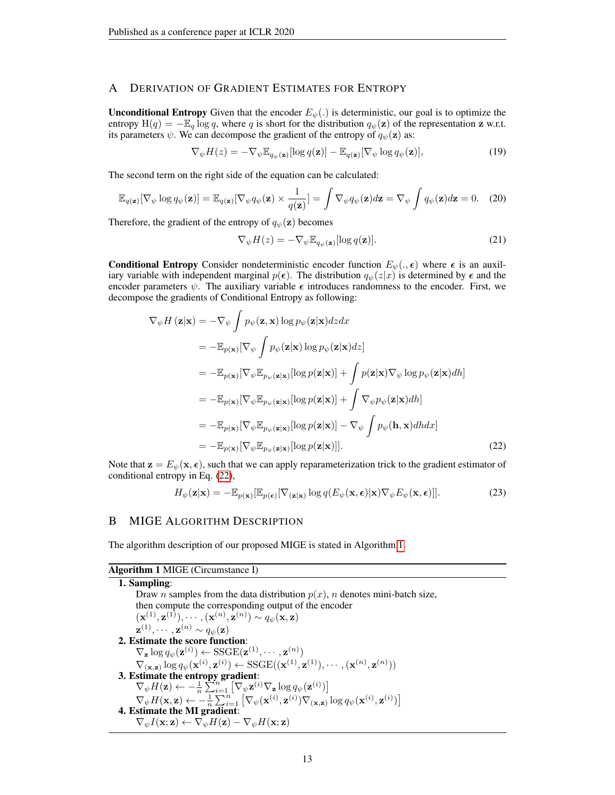## <span id="page-12-0"></span>A DERIVATION OF GRADIENT ESTIMATES FOR ENTROPY

**Unconditional Entropy** Given that the encoder  $E_{\psi}$ . is deterministic, our goal is to optimize the entropy  $H(q) = -E_q \log q$ , where q is short for the distribution  $q_{\psi}(z)$  of the representation z w.r.t. its parameters  $\psi$ . We can decompose the gradient of the entropy of  $q_{\psi}(\mathbf{z})$  as:

$$
\nabla_{\psi} H(z) = -\nabla_{\psi} \mathbb{E}_{q_{\psi}(\mathbf{z})} [\log q(\mathbf{z})] - \mathbb{E}_{q(\mathbf{z})} [\nabla_{\psi} \log q_{\psi}(\mathbf{z})], \tag{19}
$$

The second term on the right side of the equation can be calculated:

$$
\mathbb{E}_{q(\mathbf{z})}[\nabla_{\psi}\log q_{\psi}(\mathbf{z})] = \mathbb{E}_{q(\mathbf{z})}[\nabla_{\psi}q_{\psi}(\mathbf{z}) \times \frac{1}{q(\mathbf{z})}] = \int \nabla_{\psi}q_{\psi}(\mathbf{z})d\mathbf{z} = \nabla_{\psi}\int q_{\psi}(\mathbf{z})d\mathbf{z} = 0. \quad (20)
$$

Therefore, the gradient of the entropy of  $q_{\psi}(\mathbf{z})$  becomes

$$
\nabla_{\psi} H(z) = -\nabla_{\psi} \mathbb{E}_{q_{\psi}(\mathbf{z})} [\log q(\mathbf{z})]. \tag{21}
$$

**Conditional Entropy** Consider nondeterministic encoder function  $E_{\psi}(., \epsilon)$  where  $\epsilon$  is an auxiliary variable with independent marginal  $p(\epsilon)$ . The distribution  $q_{\psi}(z|x)$  is determined by  $\epsilon$  and the encoder parameters  $\psi$ . The auxiliary variable  $\epsilon$  introduces randomness to the encoder. First, we decompose the gradients of Conditional Entropy as following:

$$
\nabla_{\psi} H(\mathbf{z}|\mathbf{x}) = -\nabla_{\psi} \int p_{\psi}(\mathbf{z}, \mathbf{x}) \log p_{\psi}(\mathbf{z}|\mathbf{x}) dz dx
$$
  
\n
$$
= -\mathbb{E}_{p(\mathbf{x})} [\nabla_{\psi} \int p_{\psi}(\mathbf{z}|\mathbf{x}) \log p_{\psi}(\mathbf{z}|\mathbf{x}) dz]
$$
  
\n
$$
= -\mathbb{E}_{p(\mathbf{x})} [\nabla_{\psi} \mathbb{E}_{p_{\psi}(\mathbf{z}|\mathbf{x})} [\log p(\mathbf{z}|\mathbf{x})] + \int p(\mathbf{z}|\mathbf{x}) \nabla_{\psi} \log p_{\psi}(\mathbf{z}|\mathbf{x}) dh]
$$
  
\n
$$
= -\mathbb{E}_{p(\mathbf{x})} [\nabla_{\psi} \mathbb{E}_{p_{\psi}(\mathbf{z}|\mathbf{x})} [\log p(\mathbf{z}|\mathbf{x})] + \int \nabla_{\psi} p_{\psi}(\mathbf{z}|\mathbf{x}) dh]
$$
  
\n
$$
= -\mathbb{E}_{p(\mathbf{x})} [\nabla_{\psi} \mathbb{E}_{p_{\psi}(\mathbf{z}|\mathbf{x})} [\log p(\mathbf{z}|\mathbf{x})] - \nabla_{\psi} \int p_{\psi}(\mathbf{h}, \mathbf{x}) dh dx]
$$
  
\n
$$
= -\mathbb{E}_{p(\mathbf{x})} [\nabla_{\psi} \mathbb{E}_{p_{\psi}(\mathbf{z}|\mathbf{x})} [\log p(\mathbf{z}|\mathbf{x})]]. \qquad (22)
$$

Note that  $\mathbf{z} = E_{\psi}(\mathbf{x}, \epsilon)$ , such that we can apply reparameterization trick to the gradient estimator of conditional entropy in Eq. [\(22\)](#page-12-1),

<span id="page-12-1"></span>
$$
H_{\psi}(\mathbf{z}|\mathbf{x}) = -\mathbb{E}_{p(\mathbf{x})}[\mathbb{E}_{p(\boldsymbol{\epsilon})}[\nabla_{(\mathbf{z}|\mathbf{x})}\log q(E_{\psi}(\mathbf{x}, \boldsymbol{\epsilon})|\mathbf{x})\nabla_{\psi}E_{\psi}(\mathbf{x}, \boldsymbol{\epsilon})]].
$$
\n(23)

#### B MIGE ALGORITHM DESCRIPTION

The algorithm description of our proposed MIGE is stated in Algorithm [1.](#page-12-2)

## <span id="page-12-2"></span>Algorithm 1 MIGE (Circumstance I)

1. Sampling: Draw *n* samples from the data distribution  $p(x)$ , *n* denotes mini-batch size, then compute the corresponding output of the encoder  $(\mathbf{x}^{(1)}, \mathbf{z}^{(1)}), \cdots, (\mathbf{x}^{(n)}, \mathbf{z}^{(n)}) \sim q_{\psi}(\mathbf{x}, \mathbf{z})$  $\mathbf{z}^{(1)}, \cdots, \mathbf{z}^{(n)} \sim q_{\psi}(\mathbf{z})$ 2. Estimate the score function:  $\nabla_{\mathbf{z}} \log q_{\psi}(\mathbf{z}^{(i)}) \leftarrow \text{SSGE}(\mathbf{z}^{(1)}, \cdots, \mathbf{z}^{(n)})$  $\nabla_{(\mathbf{x},\mathbf{z})} \log q_{\psi}(\mathbf{x}^{(i)}, \mathbf{z}^{(i)}) \leftarrow \text{SSGE}((\mathbf{x}^{(1)}, \mathbf{z}^{(1)}), \cdots, (\mathbf{x}^{(n)}, \mathbf{z}^{(n)}))$ 3. Estimate the entropy gradient:  $\nabla_{\psi} H(\mathbf{z}) \leftarrow -\frac{1}{n} \sum_{i=1}^{n} \left[ \nabla_{\psi} \mathbf{z}^{(i)} \nabla_{\mathbf{z}} \log q_{\psi}(\mathbf{z}^{(i)}) \right]$  $\nabla_{\psi} H(\mathbf{x}, \mathbf{z}) \leftarrow -\frac{1}{n} \sum_{i=1}^{n} \left[ \nabla_{\psi}(\mathbf{x}^{(i)}, \mathbf{z}^{(i)}) \nabla_{(\mathbf{x}, \mathbf{z})} \log q_{\psi}(\mathbf{x}^{(i)}, \mathbf{z}^{(i)}) \right]$ 4. Estimate the MI gradient:  $\nabla_{\psi} I(\mathbf{x};\mathbf{z}) \leftarrow \nabla_{\psi} H(\mathbf{z}) - \nabla_{\psi} H(\mathbf{x};\mathbf{z})$